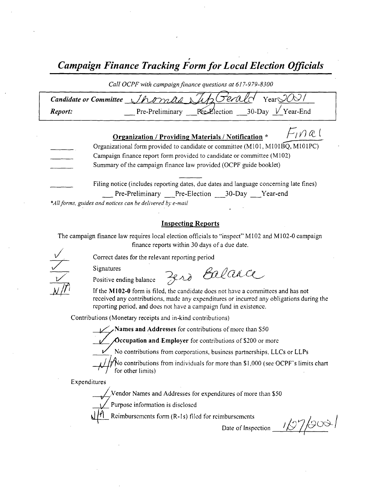Campaign Finance Tracking Form for Local Election Officials

Call OCPF with campaign finance questions at 617-979-8300

| Candidate or Committee Jhomas Sup Gerald Year TU |  |                                                 |
|--------------------------------------------------|--|-------------------------------------------------|
| Report:                                          |  | Pre-Preliminary Re-Election 30-Day $V$ Year-End |

| F <sub>1</sub> næl<br>Organization / Providing Materials / Notification *              |
|----------------------------------------------------------------------------------------|
| Organizational form provided to candidate or committee (M101, M101BQ, M101PC)          |
| Campaign finance report form provided to candidate or committee (M102)                 |
| Summary of the campaign finance law provided (OCPF guide booklet)                      |
| Filing notice (includes reporting dates, due dates and language concerning late fines) |
| Pre-Preliminary Pre-Election 30-Day Year-end                                           |

\*All forms, guides and notices can be delivered by e-mail

### Inspecting Reports

The campaign finance law requires local election officials to "inspect" M102 and M102-0 campaign finance reports within 30 days of <sup>a</sup> due date.

Correct dates for the relevant reporting period

Signatures

Hemminis Positive ending balance 7920 Ealance

If the M102-0 form is filed, the candidate does not have a committees and has not received any contributions, made any expenditures or incurred any obligations during the reporting period, and does not have a campaign fund in existence.

Contributions( Monetary receipts and in- kind contributions)

Names and Addresses for contributions of more than \$50.<br>Occupation and Employer for contributions of \$200 or more

 $\sum$ Occupation and Employer for contributions of \$200 or more<br>No contributions from corporations, business partnerships, LLCs or LLPs

/ $\frac{1}{\sqrt{N}}$  contributions from individuals for more than \$1,000 (see OCPF's limits charter for other limits) v

Expenditures

Vendor Names and Addresses for expenditures of more than \$50

Purpose information is disclosed

Reimbursements form (R-1s) filed for reimbursements

Date of Inspection  $\frac{1}{2}$  /900 /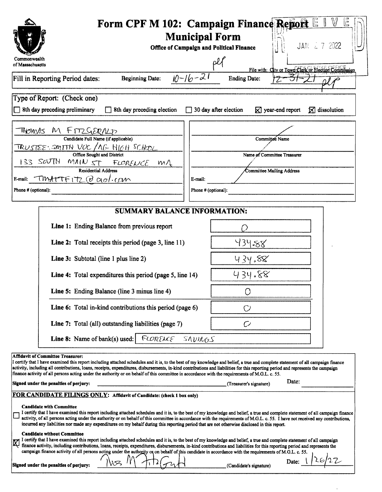|                                                                                                                                                                                                                                                                                                                                                                                                                                                                                                                                                          | Form CPF M 102: Campaign Finance Report $E \parallel$                                         |  |  |  |  |
|----------------------------------------------------------------------------------------------------------------------------------------------------------------------------------------------------------------------------------------------------------------------------------------------------------------------------------------------------------------------------------------------------------------------------------------------------------------------------------------------------------------------------------------------------------|-----------------------------------------------------------------------------------------------|--|--|--|--|
| <b>Municipal Form</b><br>JAN 27 2022<br>Office of Campaign and Political Finance                                                                                                                                                                                                                                                                                                                                                                                                                                                                         |                                                                                               |  |  |  |  |
| Commonwealth<br>of Massachusetts                                                                                                                                                                                                                                                                                                                                                                                                                                                                                                                         | pЙ                                                                                            |  |  |  |  |
| <b>Beginning Date:</b><br>Fill in Reporting Period dates:                                                                                                                                                                                                                                                                                                                                                                                                                                                                                                | File with: City or Town Clerk or Election Commission<br>$10 - 16 - 21$<br><b>Ending Date:</b> |  |  |  |  |
|                                                                                                                                                                                                                                                                                                                                                                                                                                                                                                                                                          |                                                                                               |  |  |  |  |
| Type of Report: (Check one)<br>$\Box$ 8th day preceding preliminary<br>8th day preceding election                                                                                                                                                                                                                                                                                                                                                                                                                                                        | $\Box$ 30 day after election<br>$\boxtimes$ year-end report<br>$\mathbf{\nabla}$ dissolution  |  |  |  |  |
| THOMAS M FMZGERNLI                                                                                                                                                                                                                                                                                                                                                                                                                                                                                                                                       |                                                                                               |  |  |  |  |
| Candidate Full Name (if applicable)<br>TRUSTEE: SMITTH VOC / AG HIGH SCHOOL                                                                                                                                                                                                                                                                                                                                                                                                                                                                              | Committee Name                                                                                |  |  |  |  |
| Office Sought and District<br>133 SOUTH MAIN ST FLORENCE MA                                                                                                                                                                                                                                                                                                                                                                                                                                                                                              | Name of Committee Treasurer                                                                   |  |  |  |  |
| Residential Address                                                                                                                                                                                                                                                                                                                                                                                                                                                                                                                                      | Committee Mailing Address                                                                     |  |  |  |  |
| E-mail: TMATTFITZ @ aol.com<br>Phone # (optional):                                                                                                                                                                                                                                                                                                                                                                                                                                                                                                       | E-mail:<br>Phone # (optional):                                                                |  |  |  |  |
|                                                                                                                                                                                                                                                                                                                                                                                                                                                                                                                                                          |                                                                                               |  |  |  |  |
| <b>SUMMARY BALANCE INFORMATION:</b>                                                                                                                                                                                                                                                                                                                                                                                                                                                                                                                      |                                                                                               |  |  |  |  |
| Line 1: Ending Balance from previous report                                                                                                                                                                                                                                                                                                                                                                                                                                                                                                              |                                                                                               |  |  |  |  |
| Line 2: Total receipts this period (page 3, line 11)                                                                                                                                                                                                                                                                                                                                                                                                                                                                                                     | 434.88                                                                                        |  |  |  |  |
| Line 3: Subtotal (line 1 plus line 2)                                                                                                                                                                                                                                                                                                                                                                                                                                                                                                                    | 434.88                                                                                        |  |  |  |  |
| Line 4: Total expenditures this period (page 5, line 14)                                                                                                                                                                                                                                                                                                                                                                                                                                                                                                 | 434.88                                                                                        |  |  |  |  |
| Line 5: Ending Balance (line 3 minus line 4)                                                                                                                                                                                                                                                                                                                                                                                                                                                                                                             | Ο                                                                                             |  |  |  |  |
| Line 6: Total in-kind contributions this period (page 6)                                                                                                                                                                                                                                                                                                                                                                                                                                                                                                 |                                                                                               |  |  |  |  |
| Line 7: Total (all) outstanding liabilities (page 7)                                                                                                                                                                                                                                                                                                                                                                                                                                                                                                     | O                                                                                             |  |  |  |  |
| FLORENCE<br><b>Line 8:</b> Name of bank(s) used:                                                                                                                                                                                                                                                                                                                                                                                                                                                                                                         | SAVIRGS                                                                                       |  |  |  |  |
| <b>Affidavit of Committee Treasurer:</b><br>I certify that I have examined this report including attached schedules and it is, to the best of my knowledge and belief, a true and complete statement of all campaign finance                                                                                                                                                                                                                                                                                                                             |                                                                                               |  |  |  |  |
| activity, including all contributions, loans, receipts, expenditures, disbursements, in-kind contributions and liabilities for this reporting period and represents the campaign<br>finance activity of all persons acting under the authority or on behalf of this committee in accordance with the requirements of M.G.L. c. 55.                                                                                                                                                                                                                       |                                                                                               |  |  |  |  |
| Date:<br>Signed under the penalties of perjury:<br>(Treasurer's signature)                                                                                                                                                                                                                                                                                                                                                                                                                                                                               |                                                                                               |  |  |  |  |
| FOR CANDIDATE FILINGS ONLY: Affidavit of Candidate: (check 1 box only)                                                                                                                                                                                                                                                                                                                                                                                                                                                                                   |                                                                                               |  |  |  |  |
| <b>Candidate with Committee</b><br>I certify that I have examined this report including attached schedules and it is, to the best of my knowledge and belief, a true and complete statement of all campaign finance<br>activity, of all persons acting under the authority or on behalf of this committee in accordance with the requirements of M.G.L. c. 55. I have not received any contributions,<br>incurred any liabilities nor made any expenditures on my behalf during this reporting period that are not otherwise disclosed in this report.   |                                                                                               |  |  |  |  |
| <b>Candidate without Committee</b><br>I certify that I have examined this report including attached schedules and it is, to the best of my knowledge and belief, a true and complete statement of all campaign<br>finance activity, including contributions, loans, receipts, expenditures, disbursements, in-kind contributions and liabilities for this reporting period and represents the<br>campaign finance activity of all persons acting under the authority or on behalf of this candidate in accordance with the requirements of M.G.L. c. 55. |                                                                                               |  |  |  |  |
| Date:<br>Signed under the penalties of perjury:<br>(Candidate's signature)                                                                                                                                                                                                                                                                                                                                                                                                                                                                               |                                                                                               |  |  |  |  |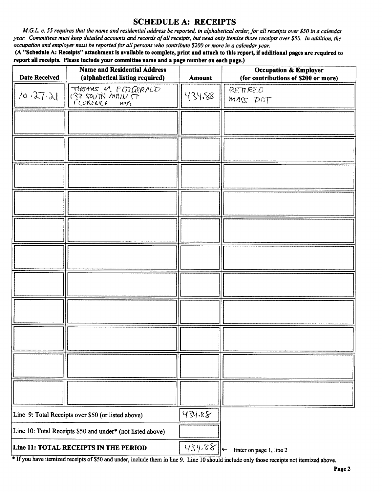# SCHEDULE A: RECEIPTS

M.G.L. c. 55 requires that the name and residential address be reported, in alphabetical order, for all receipts over \$50 in a calendar year. Committees must keep detailed accounts and records of all receipts, but need only itemize those receipts over \$50. In addition, the occupation and employer must be reported for all persons who contribute\$ 200 or more in a calendar year.

A" Schedule A: Receipts" attachment is available to complete, print and attach to this report, if additional pages are required to report all receipts. Please include your committee name and a page number on each page.)

| <b>Date Received</b>                                       | <b>Name and Residential Address</b><br>(alphabetical listing required) | Amount | <b>Occupation &amp; Employer</b><br>(for contributions of \$200 or more) |
|------------------------------------------------------------|------------------------------------------------------------------------|--------|--------------------------------------------------------------------------|
| 10.27.21                                                   | THOMAS M FITZGERALD<br>FLUKENCE<br>$M_A$                               | 434.88 | RETIRED<br>MASS DOT                                                      |
|                                                            |                                                                        |        |                                                                          |
|                                                            |                                                                        |        |                                                                          |
|                                                            |                                                                        |        |                                                                          |
|                                                            |                                                                        |        |                                                                          |
|                                                            |                                                                        |        |                                                                          |
|                                                            |                                                                        |        |                                                                          |
|                                                            |                                                                        |        |                                                                          |
|                                                            |                                                                        |        |                                                                          |
|                                                            |                                                                        |        |                                                                          |
|                                                            |                                                                        |        |                                                                          |
|                                                            |                                                                        |        |                                                                          |
| Line 9: Total Receipts over \$50 (or listed above)         |                                                                        | 434.88 |                                                                          |
| Line 10: Total Receipts \$50 and under* (not listed above) |                                                                        |        |                                                                          |
| Line 11: TOTAL RECEIPTS IN THE PERIOD                      |                                                                        | 434.88 | Enter on page 1, line 2<br>$\leftarrow$                                  |

If you have itemized receipts of\$50 and under, include them in line 9. Line <sup>10</sup> should include only those receipts not itemized above.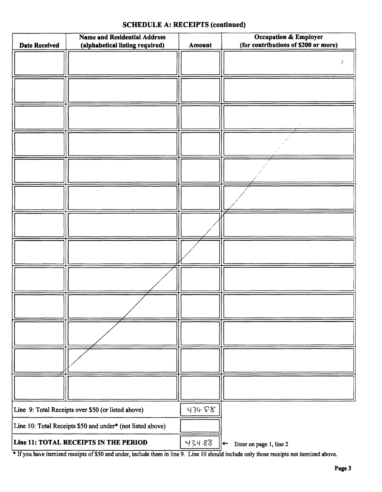# Name and Residential Address **Constantial Address** Cocupation & Employer Date Received (alphabetical listing required)  $\parallel$  Amount (for contributions of \$200 or more)  $\lambda$  $\neq$ i Line 9: Total Receipts over \$50 (or listed above)  $\vert \psi \rangle$  434  $\mathcal{F}$ Line 10: Total Receipts \$50 and under\* (not listed above) Line 11: TOTAL RECEIPTS IN THE PERIOD  $\vert \forall 34.88 \vert \leftarrow$ Enter on page 1, line 2

## SCHEDULE A: RECEIPTS (continued)

If you have itemized receipts of\$ <sup>50</sup> and under, include them in line 9. Line <sup>10</sup> should include only those receipts not itemized above.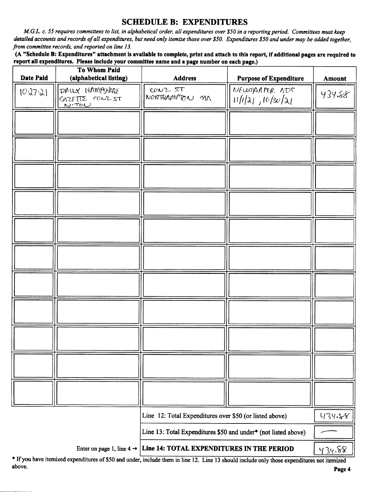# SCHEDULE B: EXPENDITURES

M.G.L. c. 55 requires committees to list, in alphabetical order, all expenditures over \$50 in a reporting period. Committees must keep detailed accounts and records of all expenditures, but need only itemize those over \$50. Expenditures \$50 and under may be added together, from committee records, and reported on line 13.

A" Schedule B: Expenditures" attachment is available to complete, print and attach to this report, if additional pages are required to report all expenditures. Please include your committee name and a page number on each page.)

| <b>Date Paid</b> | <b>To Whom Paid</b><br>(alphabetical listing)              | <b>Address</b>                                                 | <b>Purpose of Expenditure</b>      | <b>Amount</b> |
|------------------|------------------------------------------------------------|----------------------------------------------------------------|------------------------------------|---------------|
| 10.27.21         | DAILY HAMPSHIRE.<br><b>GAZETTE CONZ ST</b><br><u>NITON</u> | $C/N2$ ST<br>NORTHAMPTON MN                                    | NEWSPIARER ADS<br>11/1/21/10/30/21 | 434.88        |
|                  |                                                            |                                                                |                                    |               |
|                  |                                                            |                                                                |                                    |               |
|                  |                                                            |                                                                |                                    |               |
|                  |                                                            |                                                                |                                    |               |
|                  |                                                            |                                                                |                                    |               |
|                  |                                                            |                                                                |                                    |               |
|                  |                                                            |                                                                |                                    |               |
|                  |                                                            |                                                                |                                    |               |
|                  |                                                            |                                                                |                                    |               |
|                  |                                                            |                                                                |                                    |               |
|                  |                                                            |                                                                |                                    |               |
|                  |                                                            | Line 12: Total Expenditures over \$50 (or listed above)        |                                    | 434.88        |
|                  |                                                            | Line 13: Total Expenditures \$50 and under* (not listed above) |                                    |               |
|                  | Enter on page 1, line 4 $\rightarrow$                      | 434.88<br>Line 14: TOTAL EXPENDITURES IN THE PERIOD            |                                    |               |

\* If you have itemized expenditures of \$50 and under, include them in line 12. Line 13 should include only those expenditures not itemized above. above. **Page 4**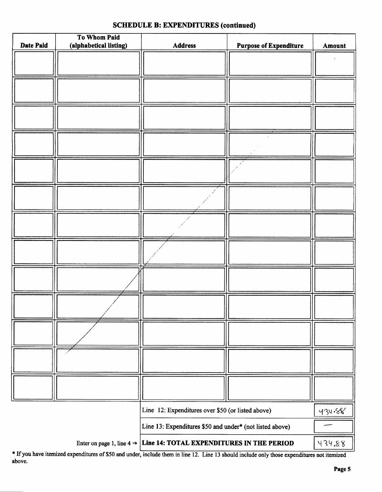| Date Paid | To Whom Paid<br>(alphabetical listing) | Address                                                                         | <b>Purpose of Expenditure</b> | Amount |
|-----------|----------------------------------------|---------------------------------------------------------------------------------|-------------------------------|--------|
|           |                                        |                                                                                 |                               |        |
|           |                                        |                                                                                 |                               |        |
|           |                                        |                                                                                 |                               |        |
|           |                                        |                                                                                 |                               |        |
|           |                                        |                                                                                 |                               |        |
|           |                                        |                                                                                 |                               |        |
|           |                                        |                                                                                 |                               |        |
|           |                                        |                                                                                 |                               |        |
|           |                                        |                                                                                 |                               |        |
|           |                                        |                                                                                 |                               |        |
|           |                                        |                                                                                 |                               |        |
|           |                                        |                                                                                 |                               |        |
|           |                                        |                                                                                 |                               |        |
|           |                                        |                                                                                 |                               |        |
|           |                                        |                                                                                 |                               |        |
|           |                                        |                                                                                 |                               |        |
|           |                                        |                                                                                 |                               |        |
|           |                                        |                                                                                 |                               |        |
|           |                                        |                                                                                 |                               |        |
|           |                                        |                                                                                 |                               |        |
|           |                                        |                                                                                 |                               |        |
|           |                                        |                                                                                 |                               |        |
|           |                                        |                                                                                 |                               |        |
|           |                                        |                                                                                 |                               |        |
|           |                                        |                                                                                 |                               |        |
|           |                                        |                                                                                 |                               |        |
|           |                                        | Line 12: Expenditures over \$50 (or listed above)                               |                               | 434.88 |
|           |                                        | Line 13: Expenditures \$50 and under* (not listed above)                        |                               |        |
|           |                                        | Enter on page 1, line $4 \rightarrow$ Line 14: TOTAL EXPENDITURES IN THE PERIOD |                               |        |

If you have itemized expenditures of\$50 and under, include them in line 12. Line <sup>13</sup> should include only those expenditures not itemized above.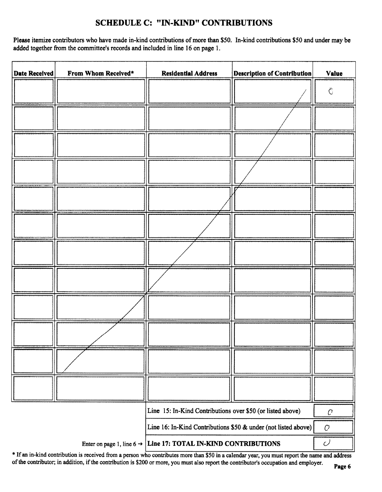# SCHEDULE C: " IN-KIND" CONTRIBUTIONS

Please itemize contributors who have made in-kind contributions of more than \$50. In-kind contributions \$50 and under may be added together from the committee's records and included in line 16 on page 1.

| <b>Date Received</b> | From Whom Received*                   | <b>Residential Address</b>                                     | <b>Description of Contribution</b> | <b>Value</b>       |
|----------------------|---------------------------------------|----------------------------------------------------------------|------------------------------------|--------------------|
|                      |                                       |                                                                |                                    | $\hat{\mathbf{C}}$ |
|                      |                                       |                                                                |                                    |                    |
|                      |                                       |                                                                |                                    |                    |
|                      |                                       |                                                                |                                    |                    |
|                      |                                       |                                                                |                                    |                    |
|                      |                                       |                                                                |                                    |                    |
|                      |                                       |                                                                |                                    |                    |
|                      |                                       |                                                                |                                    |                    |
|                      |                                       |                                                                |                                    |                    |
|                      |                                       |                                                                |                                    |                    |
|                      |                                       |                                                                |                                    |                    |
|                      |                                       |                                                                |                                    |                    |
|                      |                                       | Line 15: In-Kind Contributions over \$50 (or listed above)     |                                    | $\cal C$           |
|                      |                                       | Line 16: In-Kind Contributions \$50 & under (not listed above) |                                    | $\mathcal{O}$      |
|                      | Enter on page 1, line $6 \rightarrow$ | Line 17: TOTAL IN-KIND CONTRIBUTIONS                           |                                    | $\mathcal{O}$      |

\* If an in-kind contribution is received from a person who contributes more than \$50 in a calendar year, you must report the name and address of the contributor; in addition, if the contribution is \$200 or more, you must also report the contributor's occupation and employer.